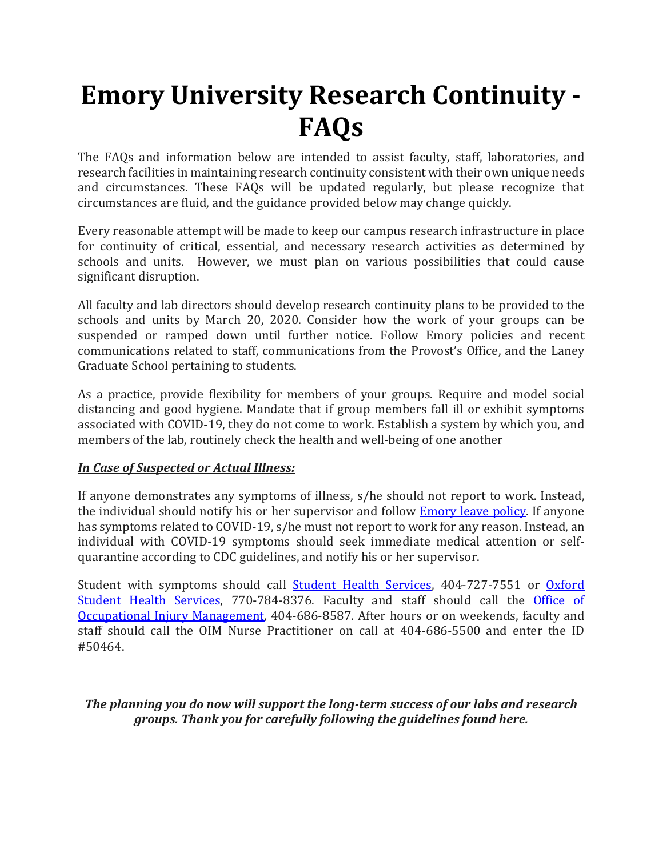# **Emory University Research Continuity - FAQs**

The FAQs and information below are intended to assist faculty, staff, laboratories, and research facilities in maintaining research continuity consistent with their own unique needs and circumstances. These FAQs will be updated regularly, but please recognize that circumstances are fluid, and the guidance provided below may change quickly.

Every reasonable attempt will be made to keep our campus research infrastructure in place for continuity of critical, essential, and necessary research activities as determined by schools and units. However, we must plan on various possibilities that could cause significant disruption.

All faculty and lab directors should develop research continuity plans to be provided to the schools and units by March 20, 2020. Consider how the work of your groups can be suspended or ramped down until further notice. Follow Emory policies and recent communications related to staff, communications from the Provost's Office, and the Laney Graduate School pertaining to students.

As a practice, provide flexibility for members of your groups. Require and model social distancing and good hygiene. Mandate that if group members fall ill or exhibit symptoms associated with COVID-19, they do not come to work. Establish a system by which you, and members of the lab, routinely check the health and well-being of one another

# *In Case of Suspected or Actual Illness:*

If anyone demonstrates any symptoms of illness, s/he should not report to work. Instead, the individual should notify his or her supervisor and follow **Emory leave policy**. If anyone has symptoms related to COVID-19, s/he must not report to work for any reason. Instead, an individual with COVID-19 symptoms should seek immediate medical attention or selfquarantine according to CDC guidelines, and notify his or her supervisor.

Student with symptoms should call [Student Health Services,](http://studenthealth.emory.edu/hs/) 404-727-7551 or [Oxford](https://welcome.oxford.emory.edu/life/student-health-services.html)  [Student Health Services,](https://welcome.oxford.emory.edu/life/student-health-services.html) 770-784-8376. Faculty and staff should call the Office of [Occupational Injury Management,](https://www.hr.emory.edu/eu/wellness/general-health/occupational-injury-management/index.html) 404-686-8587. After hours or on weekends, faculty and staff should call the OIM Nurse Practitioner on call at 404-686-5500 and enter the ID #50464.

# *The planning you do now will support the long-term success of our labs and research groups. Thank you for carefully following the guidelines found here.*